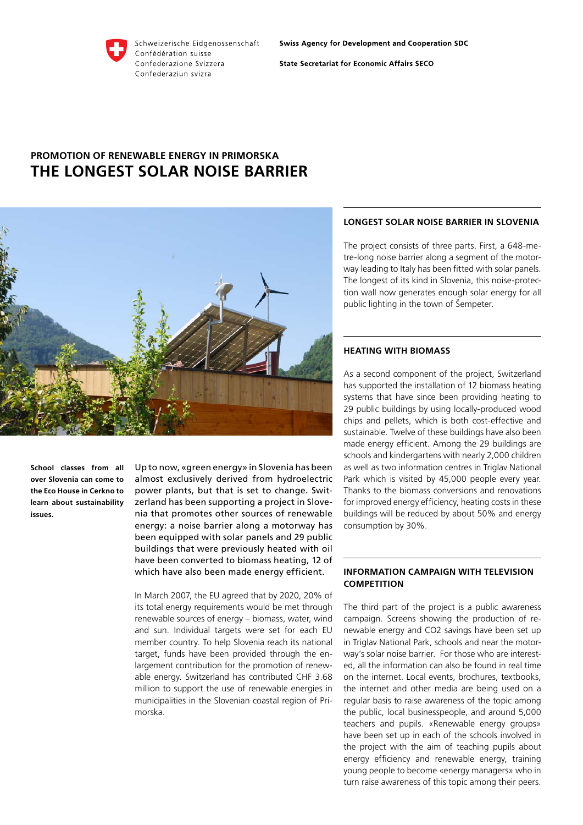Schweizerische Eidgenossenschaft Confédération suisse Confederazione Svizzera Confederaziun svizra

**State Secretariat for Economic Affairs SECO** 

# **Promotion of renewable energy in Primorska The longest solar noise barrier**



**School classes from all over Slovenia can come to the Eco House in Cerkno to learn about sustainability issues.**

Up to now, «green energy» in Slovenia has been almost exclusively derived from hydroelectric power plants, but that is set to change. Switzerland has been supporting a project in Slovenia that promotes other sources of renewable energy: a noise barrier along a motorway has been equipped with solar panels and 29 public buildings that were previously heated with oil have been converted to biomass heating, 12 of which have also been made energy efficient.

In March 2007, the EU agreed that by 2020, 20% of its total energy requirements would be met through renewable sources of energy – biomass, water, wind and sun. Individual targets were set for each EU member country. To help Slovenia reach its national target, funds have been provided through the enlargement contribution for the promotion of renewable energy. Switzerland has contributed CHF 3.68 million to support the use of renewable energies in municipalities in the Slovenian coastal region of Primorska.

# **Longest solar noise barrier in Slovenia**

The project consists of three parts. First, a 648-metre-long noise barrier along a segment of the motorway leading to Italy has been fitted with solar panels. The longest of its kind in Slovenia, this noise-protection wall now generates enough solar energy for all public lighting in the town of Šempeter.

# **Heating with biomass**

As a second component of the project, Switzerland has supported the installation of 12 biomass heating systems that have since been providing heating to 29 public buildings by using locally-produced wood chips and pellets, which is both cost-effective and sustainable. Twelve of these buildings have also been made energy efficient. Among the 29 buildings are schools and kindergartens with nearly 2,000 children as well as two information centres in Triglav National Park which is visited by 45,000 people every year. Thanks to the biomass conversions and renovations for improved energy efficiency, heating costs in these buildings will be reduced by about 50% and energy consumption by 30%.

# **Information campaign with television competition**

The third part of the project is a public awareness campaign. Screens showing the production of renewable energy and CO2 savings have been set up in Triglav National Park, schools and near the motorway's solar noise barrier. For those who are interested, all the information can also be found in real time on the internet. Local events, brochures, textbooks, the internet and other media are being used on a regular basis to raise awareness of the topic among the public, local businesspeople, and around 5,000 teachers and pupils. «Renewable energy groups» have been set up in each of the schools involved in the project with the aim of teaching pupils about energy efficiency and renewable energy, training young people to become «energy managers» who in turn raise awareness of this topic among their peers.